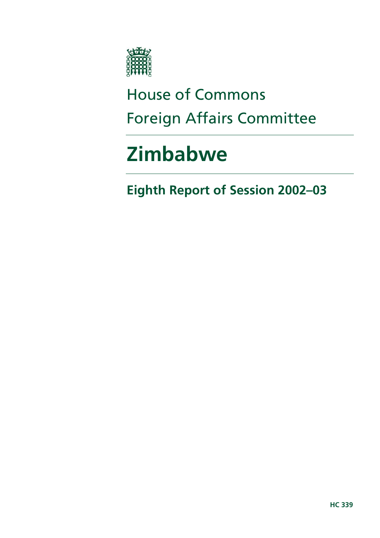

# House of Commons Foreign Affairs Committee

# **Zimbabwe**

**Eighth Report of Session 2002–03**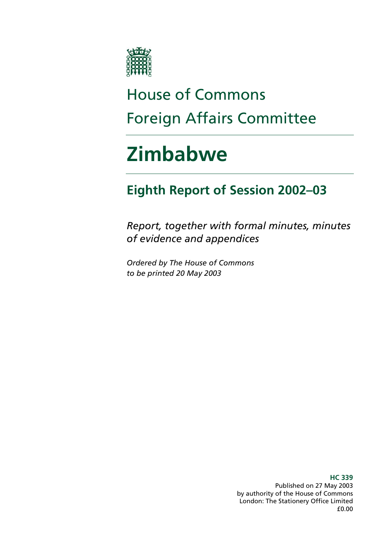

# House of Commons Foreign Affairs Committee

# **Zimbabwe**

# **Eighth Report of Session 2002–03**

*Report, together with formal minutes, minutes of evidence and appendices* 

*Ordered by The House of Commons to be printed 20 May 2003* 

> **HC 339**  Published on 27 May 2003 by authority of the House of Commons London: The Stationery Office Limited £0.00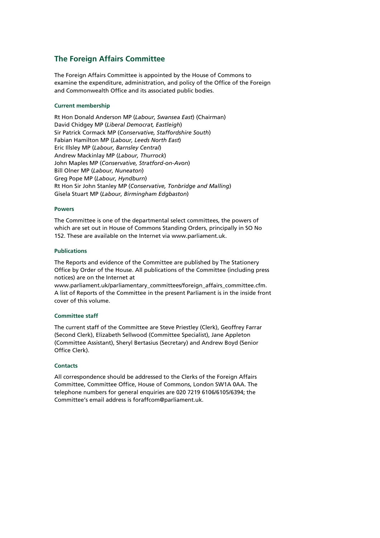#### **The Foreign Affairs Committee**

The Foreign Affairs Committee is appointed by the House of Commons to examine the expenditure, administration, and policy of the Office of the Foreign and Commonwealth Office and its associated public bodies.

#### **Current membership**

Rt Hon Donald Anderson MP (*Labour, Swansea East*) (Chairman) David Chidgey MP (*Liberal Democrat, Eastleigh*) Sir Patrick Cormack MP (*Conservative, Staffordshire South*) Fabian Hamilton MP (*Labour, Leeds North East*) Eric Illsley MP (*Labour, Barnsley Central*) Andrew Mackinlay MP (*Labour, Thurrock*) John Maples MP (*Conservative, Stratford-on-Avon*) Bill Olner MP (*Labour, Nuneaton*) Greg Pope MP (*Labour, Hyndburn*) Rt Hon Sir John Stanley MP (*Conservative, Tonbridge and Malling*) Gisela Stuart MP (*Labour, Birmingham Edgbaston*)

#### **Powers**

The Committee is one of the departmental select committees, the powers of which are set out in House of Commons Standing Orders, principally in SO No 152. These are available on the Internet via www.parliament.uk.

#### **Publications**

The Reports and evidence of the Committee are published by The Stationery Office by Order of the House. All publications of the Committee (including press notices) are on the Internet at

www.parliament.uk/parliamentary\_committees/foreign\_affairs\_committee.cfm. A list of Reports of the Committee in the present Parliament is in the inside front cover of this volume.

#### **Committee staff**

The current staff of the Committee are Steve Priestley (Clerk), Geoffrey Farrar (Second Clerk), Elizabeth Sellwood (Committee Specialist), Jane Appleton (Committee Assistant), Sheryl Bertasius (Secretary) and Andrew Boyd (Senior Office Clerk).

#### **Contacts**

All correspondence should be addressed to the Clerks of the Foreign Affairs Committee, Committee Office, House of Commons, London SW1A 0AA. The telephone numbers for general enquiries are 020 7219 6106/6105/6394; the Committee's email address is foraffcom@parliament.uk.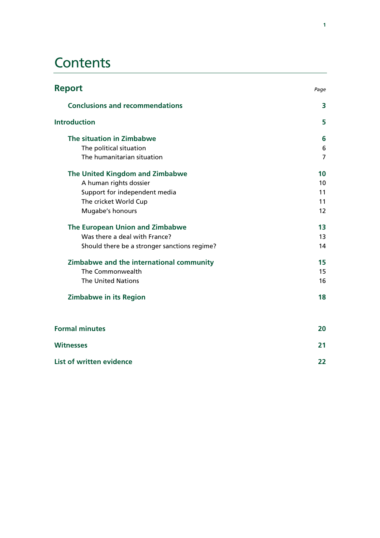# **Contents**

| <b>Conclusions and recommendations</b>       | 3                 |
|----------------------------------------------|-------------------|
| <b>Introduction</b>                          | 5                 |
| The situation in Zimbabwe                    | 6                 |
| The political situation                      | 6                 |
| The humanitarian situation                   | $\overline{7}$    |
| The United Kingdom and Zimbabwe              | 10                |
| A human rights dossier                       | 10                |
| Support for independent media                | 11                |
| The cricket World Cup                        | 11                |
| Mugabe's honours                             | $12 \overline{ }$ |
| The European Union and Zimbabwe              | 13                |
| Was there a deal with France?                | 13                |
| Should there be a stronger sanctions regime? | 14                |
| Zimbabwe and the international community     | 15                |
| The Commonwealth                             | 15                |
| <b>The United Nations</b>                    | 16                |
| <b>Zimbabwe in its Region</b>                | 18                |
| <b>Formal minutes</b>                        | 20                |
| <b>Witnesses</b>                             | 21                |

| List of written evidence |  |
|--------------------------|--|
|                          |  |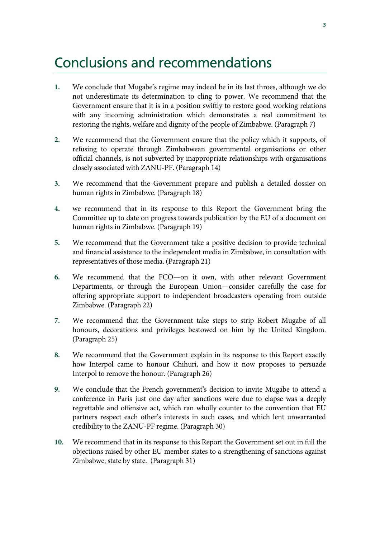### Conclusions and recommendations

- **1.** We conclude that Mugabe's regime may indeed be in its last throes, although we do not underestimate its determination to cling to power. We recommend that the Government ensure that it is in a position swiftly to restore good working relations with any incoming administration which demonstrates a real commitment to restoring the rights, welfare and dignity of the people of Zimbabwe. (Paragraph 7)
- **2.** We recommend that the Government ensure that the policy which it supports, of refusing to operate through Zimbabwean governmental organisations or other official channels, is not subverted by inappropriate relationships with organisations closely associated with ZANU-PF. (Paragraph 14)
- **3.** We recommend that the Government prepare and publish a detailed dossier on human rights in Zimbabwe. (Paragraph 18)
- **4.** we recommend that in its response to this Report the Government bring the Committee up to date on progress towards publication by the EU of a document on human rights in Zimbabwe. (Paragraph 19)
- **5.** We recommend that the Government take a positive decision to provide technical and financial assistance to the independent media in Zimbabwe, in consultation with representatives of those media. (Paragraph 21)
- **6.** We recommend that the FCO—on it own, with other relevant Government Departments, or through the European Union—consider carefully the case for offering appropriate support to independent broadcasters operating from outside Zimbabwe. (Paragraph 22)
- **7.** We recommend that the Government take steps to strip Robert Mugabe of all honours, decorations and privileges bestowed on him by the United Kingdom. (Paragraph 25)
- **8.** We recommend that the Government explain in its response to this Report exactly how Interpol came to honour Chihuri, and how it now proposes to persuade Interpol to remove the honour. (Paragraph 26)
- **9.** We conclude that the French government's decision to invite Mugabe to attend a conference in Paris just one day after sanctions were due to elapse was a deeply regrettable and offensive act, which ran wholly counter to the convention that EU partners respect each other's interests in such cases, and which lent unwarranted credibility to the ZANU-PF regime. (Paragraph 30)
- **10.** We recommend that in its response to this Report the Government set out in full the objections raised by other EU member states to a strengthening of sanctions against Zimbabwe, state by state. (Paragraph 31)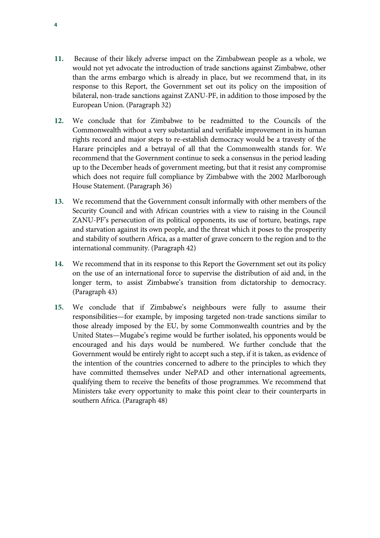- **11.** Because of their likely adverse impact on the Zimbabwean people as a whole, we would not yet advocate the introduction of trade sanctions against Zimbabwe, other than the arms embargo which is already in place, but we recommend that, in its response to this Report, the Government set out its policy on the imposition of bilateral, non-trade sanctions against ZANU-PF, in addition to those imposed by the European Union. (Paragraph 32)
- **12.** We conclude that for Zimbabwe to be readmitted to the Councils of the Commonwealth without a very substantial and verifiable improvement in its human rights record and major steps to re-establish democracy would be a travesty of the Harare principles and a betrayal of all that the Commonwealth stands for. We recommend that the Government continue to seek a consensus in the period leading up to the December heads of government meeting, but that it resist any compromise which does not require full compliance by Zimbabwe with the 2002 Marlborough House Statement. (Paragraph 36)
- **13.** We recommend that the Government consult informally with other members of the Security Council and with African countries with a view to raising in the Council ZANU-PF's persecution of its political opponents, its use of torture, beatings, rape and starvation against its own people, and the threat which it poses to the prosperity and stability of southern Africa, as a matter of grave concern to the region and to the international community. (Paragraph 42)
- **14.** We recommend that in its response to this Report the Government set out its policy on the use of an international force to supervise the distribution of aid and, in the longer term, to assist Zimbabwe's transition from dictatorship to democracy. (Paragraph 43)
- **15.** We conclude that if Zimbabwe's neighbours were fully to assume their responsibilities—for example, by imposing targeted non-trade sanctions similar to those already imposed by the EU, by some Commonwealth countries and by the United States—Mugabe's regime would be further isolated, his opponents would be encouraged and his days would be numbered. We further conclude that the Government would be entirely right to accept such a step, if it is taken, as evidence of the intention of the countries concerned to adhere to the principles to which they have committed themselves under NePAD and other international agreements, qualifying them to receive the benefits of those programmes. We recommend that Ministers take every opportunity to make this point clear to their counterparts in southern Africa. (Paragraph 48)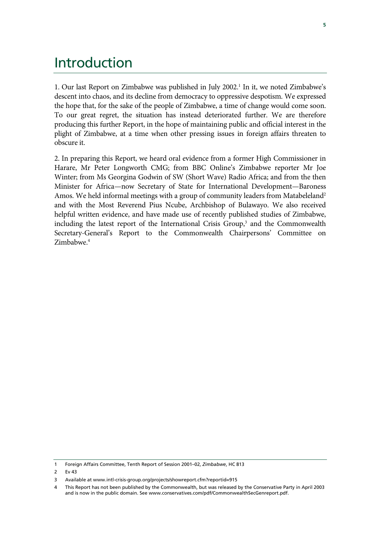### Introduction

1. Our last Report on Zimbabwe was published in July 2002.<sup>1</sup> In it, we noted Zimbabwe's descent into chaos, and its decline from democracy to oppressive despotism. We expressed the hope that, for the sake of the people of Zimbabwe, a time of change would come soon. To our great regret, the situation has instead deteriorated further. We are therefore producing this further Report, in the hope of maintaining public and official interest in the plight of Zimbabwe, at a time when other pressing issues in foreign affairs threaten to obscure it.

2. In preparing this Report, we heard oral evidence from a former High Commissioner in Harare, Mr Peter Longworth CMG; from BBC Online's Zimbabwe reporter Mr Joe Winter; from Ms Georgina Godwin of SW (Short Wave) Radio Africa; and from the then Minister for Africa—now Secretary of State for International Development—Baroness Amos. We held informal meetings with a group of community leaders from Matabeleland<sup>2</sup> and with the Most Reverend Pius Ncube, Archbishop of Bulawayo. We also received helpful written evidence, and have made use of recently published studies of Zimbabwe, including the latest report of the International Crisis Group,<sup>3</sup> and the Commonwealth Secretary-General's Report to the Commonwealth Chairpersons' Committee on Zimbabwe.<sup>4</sup>

<sup>1</sup> Foreign Affairs Committee, Tenth Report of Session 2001–02, *Zimbabwe*, HC 813

<sup>2</sup> Ev 43

<sup>3</sup> Available at www.intl-crisis-group.org/projects/showreport.cfm?reportid=915

<sup>4</sup> This Report has not been published by the Commonwealth, but was released by the Conservative Party in April 2003 and is now in the public domain. See www.conservatives.com/pdf/CommonwealthSecGenreport.pdf.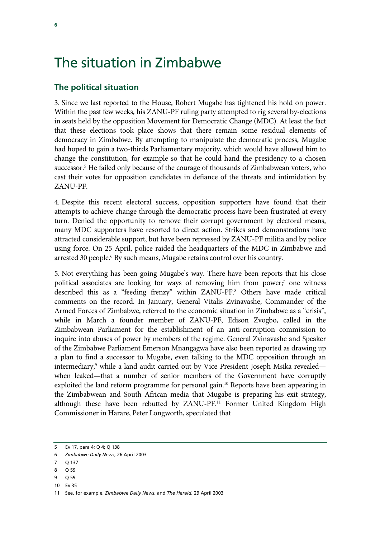## The situation in Zimbabwe

### **The political situation**

3. Since we last reported to the House, Robert Mugabe has tightened his hold on power. Within the past few weeks, his ZANU-PF ruling party attempted to rig several by-elections in seats held by the opposition Movement for Democratic Change (MDC). At least the fact that these elections took place shows that there remain some residual elements of democracy in Zimbabwe. By attempting to manipulate the democratic process, Mugabe had hoped to gain a two-thirds Parliamentary majority, which would have allowed him to change the constitution, for example so that he could hand the presidency to a chosen successor.<sup>5</sup> He failed only because of the courage of thousands of Zimbabwean voters, who cast their votes for opposition candidates in defiance of the threats and intimidation by ZANU-PF.

4. Despite this recent electoral success, opposition supporters have found that their attempts to achieve change through the democratic process have been frustrated at every turn. Denied the opportunity to remove their corrupt government by electoral means, many MDC supporters have resorted to direct action. Strikes and demonstrations have attracted considerable support, but have been repressed by ZANU-PF militia and by police using force. On 25 April, police raided the headquarters of the MDC in Zimbabwe and arrested 30 people.<sup>6</sup> By such means, Mugabe retains control over his country.

5. Not everything has been going Mugabe's way. There have been reports that his close political associates are looking for ways of removing him from power;<sup>7</sup> one witness described this as a "feeding frenzy" within ZANU-PF.8 Others have made critical comments on the record. In January, General Vitalis Zvinavashe, Commander of the Armed Forces of Zimbabwe, referred to the economic situation in Zimbabwe as a "crisis", while in March a founder member of ZANU-PF, Edison Zvogbo, called in the Zimbabwean Parliament for the establishment of an anti-corruption commission to inquire into abuses of power by members of the regime. General Zvinavashe and Speaker of the Zimbabwe Parliament Emerson Mnangagwa have also been reported as drawing up a plan to find a successor to Mugabe, even talking to the MDC opposition through an intermediary,<sup>9</sup> while a land audit carried out by Vice President Joseph Msika revealed when leaked—that a number of senior members of the Government have corruptly exploited the land reform programme for personal gain.<sup>10</sup> Reports have been appearing in the Zimbabwean and South African media that Mugabe is preparing his exit strategy, although these have been rebutted by ZANU-PF.<sup>11</sup> Former United Kingdom High Commissioner in Harare, Peter Longworth, speculated that

- 9 Q 59
- 10 Ev 35

<sup>5</sup> Ev 17, para 4; Q 4; Q 138

<sup>6</sup> *Zimbabwe Daily News*, 26 April 2003

<sup>7</sup> Q 137

<sup>8</sup> Q 59

<sup>11</sup> See, for example, *Zimbabwe Daily News*, and *The Herald*, 29 April 2003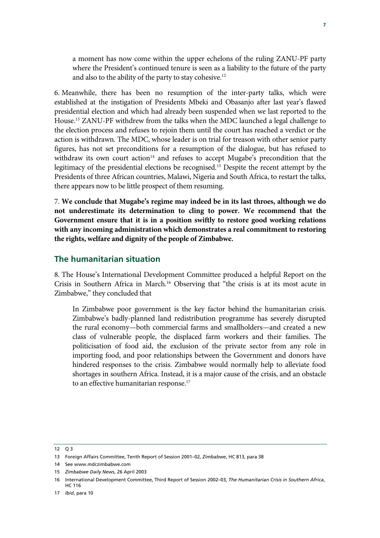a moment has now come within the upper echelons of the ruling ZANU-PF party where the President's continued tenure is seen as a liability to the future of the party and also to the ability of the party to stay cohesive.12

6. Meanwhile, there has been no resumption of the inter-party talks, which were established at the instigation of Presidents Mbeki and Obasanjo after last year's flawed presidential election and which had already been suspended when we last reported to the House.13 ZANU-PF withdrew from the talks when the MDC launched a legal challenge to the election process and refuses to rejoin them until the court has reached a verdict or the action is withdrawn. The MDC, whose leader is on trial for treason with other senior party figures, has not set preconditions for a resumption of the dialogue, but has refused to withdraw its own court action<sup>14</sup> and refuses to accept Mugabe's precondition that the legitimacy of the presidential elections be recognised.15 Despite the recent attempt by the Presidents of three African countries, Malawi, Nigeria and South Africa, to restart the talks, there appears now to be little prospect of them resuming.

7. **We conclude that Mugabe's regime may indeed be in its last throes, although we do not underestimate its determination to cling to power. We recommend that the Government ensure that it is in a position swiftly to restore good working relations with any incoming administration which demonstrates a real commitment to restoring the rights, welfare and dignity of the people of Zimbabwe.**

#### **The humanitarian situation**

8. The House's International Development Committee produced a helpful Report on the Crisis in Southern Africa in March.16 Observing that "the crisis is at its most acute in Zimbabwe," they concluded that

In Zimbabwe poor government is the key factor behind the humanitarian crisis. Zimbabwe's badly-planned land redistribution programme has severely disrupted the rural economy—both commercial farms and smallholders—and created a new class of vulnerable people, the displaced farm workers and their families. The politicisation of food aid, the exclusion of the private sector from any role in importing food, and poor relationships between the Government and donors have hindered responses to the crisis. Zimbabwe would normally help to alleviate food shortages in southern Africa. Instead, it is a major cause of the crisis, and an obstacle to an effective humanitarian response.<sup>17</sup>

12 03

<sup>13</sup> Foreign Affairs Committee, Tenth Report of Session 2001–02, *Zimbabwe*, HC 813, para 38

<sup>14</sup> See www.mdczimbabwe.com

<sup>15</sup> *Zimbabwe Daily News*, 26 April 2003

<sup>16</sup> International Development Committee, Third Report of Session 2002–03, *The Humanitarian Crisis in Southern Africa*, HC 116

<sup>17</sup> *Ibid*, para 10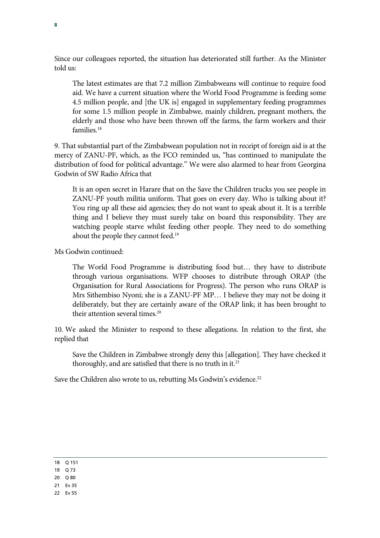Since our colleagues reported, the situation has deteriorated still further. As the Minister told us:

The latest estimates are that 7.2 million Zimbabweans will continue to require food aid. We have a current situation where the World Food Programme is feeding some 4.5 million people, and [the UK is] engaged in supplementary feeding programmes for some 1.5 million people in Zimbabwe, mainly children, pregnant mothers, the elderly and those who have been thrown off the farms, the farm workers and their families.<sup>18</sup>

9. That substantial part of the Zimbabwean population not in receipt of foreign aid is at the mercy of ZANU-PF, which, as the FCO reminded us, "has continued to manipulate the distribution of food for political advantage." We were also alarmed to hear from Georgina Godwin of SW Radio Africa that

It is an open secret in Harare that on the Save the Children trucks you see people in ZANU-PF youth militia uniform. That goes on every day. Who is talking about it? You ring up all these aid agencies; they do not want to speak about it. It is a terrible thing and I believe they must surely take on board this responsibility. They are watching people starve whilst feeding other people. They need to do something about the people they cannot feed.19

Ms Godwin continued:

The World Food Programme is distributing food but… they have to distribute through various organisations. WFP chooses to distribute through ORAP (the Organisation for Rural Associations for Progress). The person who runs ORAP is Mrs Sithembiso Nyoni; she is a ZANU-PF MP… I believe they may not be doing it deliberately, but they are certainly aware of the ORAP link; it has been brought to their attention several times.<sup>20</sup>

10. We asked the Minister to respond to these allegations. In relation to the first, she replied that

Save the Children in Zimbabwe strongly deny this [allegation]. They have checked it thoroughly, and are satisfied that there is no truth in it. $21$ 

Save the Children also wrote to us, rebutting Ms Godwin's evidence.<sup>22</sup>

| $\sim$ | ۰.<br>× |
|--------|---------|
|--------|---------|

- 19 Q 73
- 20 Q 80
- 21 Ev 35
- 22 Ev 55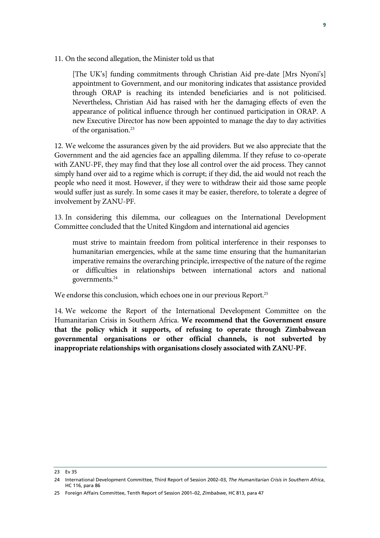11. On the second allegation, the Minister told us that

[The UK's] funding commitments through Christian Aid pre-date [Mrs Nyoni's] appointment to Government, and our monitoring indicates that assistance provided through ORAP is reaching its intended beneficiaries and is not politicised. Nevertheless, Christian Aid has raised with her the damaging effects of even the appearance of political influence through her continued participation in ORAP. A new Executive Director has now been appointed to manage the day to day activities of the organisation.23

12. We welcome the assurances given by the aid providers. But we also appreciate that the Government and the aid agencies face an appalling dilemma. If they refuse to co-operate with ZANU-PF, they may find that they lose all control over the aid process. They cannot simply hand over aid to a regime which is corrupt; if they did, the aid would not reach the people who need it most. However, if they were to withdraw their aid those same people would suffer just as surely. In some cases it may be easier, therefore, to tolerate a degree of involvement by ZANU-PF.

13. In considering this dilemma, our colleagues on the International Development Committee concluded that the United Kingdom and international aid agencies

must strive to maintain freedom from political interference in their responses to humanitarian emergencies, while at the same time ensuring that the humanitarian imperative remains the overarching principle, irrespective of the nature of the regime or difficulties in relationships between international actors and national governments.24

We endorse this conclusion, which echoes one in our previous Report.<sup>25</sup>

14. We welcome the Report of the International Development Committee on the Humanitarian Crisis in Southern Africa. **We recommend that the Government ensure that the policy which it supports, of refusing to operate through Zimbabwean governmental organisations or other official channels, is not subverted by inappropriate relationships with organisations closely associated with ZANU-PF.**

<sup>23</sup> Ev 35

<sup>24</sup> International Development Committee, Third Report of Session 2002–03, *The Humanitarian Crisis in Southern Africa*, HC 116, para 86

<sup>25</sup> Foreign Affairs Committee, Tenth Report of Session 2001–02, *Zimbabwe*, HC 813, para 47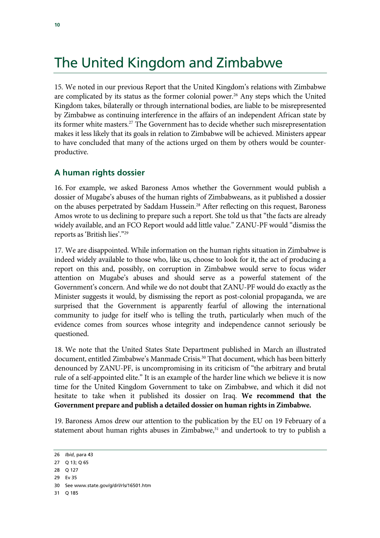# The United Kingdom and Zimbabwe

15. We noted in our previous Report that the United Kingdom's relations with Zimbabwe are complicated by its status as the former colonial power.<sup>26</sup> Any steps which the United Kingdom takes, bilaterally or through international bodies, are liable to be misrepresented by Zimbabwe as continuing interference in the affairs of an independent African state by its former white masters.<sup>27</sup> The Government has to decide whether such misrepresentation makes it less likely that its goals in relation to Zimbabwe will be achieved. Ministers appear to have concluded that many of the actions urged on them by others would be counterproductive.

### **A human rights dossier**

16. For example, we asked Baroness Amos whether the Government would publish a dossier of Mugabe's abuses of the human rights of Zimbabweans, as it published a dossier on the abuses perpetrated by Saddam Hussein.<sup>28</sup> After reflecting on this request, Baroness Amos wrote to us declining to prepare such a report. She told us that "the facts are already widely available, and an FCO Report would add little value." ZANU-PF would "dismiss the reports as 'British lies'."29

17. We are disappointed. While information on the human rights situation in Zimbabwe is indeed widely available to those who, like us, choose to look for it, the act of producing a report on this and, possibly, on corruption in Zimbabwe would serve to focus wider attention on Mugabe's abuses and should serve as a powerful statement of the Government's concern. And while we do not doubt that ZANU-PF would do exactly as the Minister suggests it would, by dismissing the report as post-colonial propaganda, we are surprised that the Government is apparently fearful of allowing the international community to judge for itself who is telling the truth, particularly when much of the evidence comes from sources whose integrity and independence cannot seriously be questioned.

18. We note that the United States State Department published in March an illustrated document, entitled Zimbabwe's Manmade Crisis.<sup>30</sup> That document, which has been bitterly denounced by ZANU-PF, is uncompromising in its criticism of "the arbitrary and brutal rule of a self-appointed elite." It is an example of the harder line which we believe it is now time for the United Kingdom Government to take on Zimbabwe, and which it did not hesitate to take when it published its dossier on Iraq. **We recommend that the Government prepare and publish a detailed dossier on human rights in Zimbabwe.**

19. Baroness Amos drew our attention to the publication by the EU on 19 February of a statement about human rights abuses in Zimbabwe, $31$  and undertook to try to publish a

<sup>26</sup> *Ibid*, para 43

<sup>27</sup> Q 13; Q 65

<sup>28</sup> Q 127

<sup>29</sup> Ev 35

<sup>30</sup> See www.state.gov/g/drl/rls/16501.htm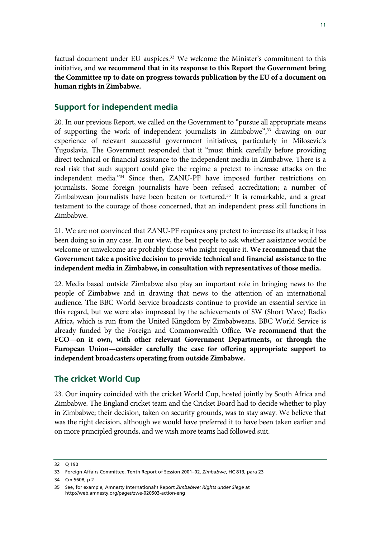factual document under EU auspices. $32$  We welcome the Minister's commitment to this initiative, and **we recommend that in its response to this Report the Government bring the Committee up to date on progress towards publication by the EU of a document on human rights in Zimbabwe.**

### **Support for independent media**

20. In our previous Report, we called on the Government to "pursue all appropriate means of supporting the work of independent journalists in Zimbabwe",33 drawing on our experience of relevant successful government initiatives, particularly in Milosevic's Yugoslavia. The Government responded that it "must think carefully before providing direct technical or financial assistance to the independent media in Zimbabwe. There is a real risk that such support could give the regime a pretext to increase attacks on the independent media."34 Since then, ZANU-PF have imposed further restrictions on journalists. Some foreign journalists have been refused accreditation; a number of Zimbabwean journalists have been beaten or tortured.<sup>35</sup> It is remarkable, and a great testament to the courage of those concerned, that an independent press still functions in Zimbabwe.

21. We are not convinced that ZANU-PF requires any pretext to increase its attacks; it has been doing so in any case. In our view, the best people to ask whether assistance would be welcome or unwelcome are probably those who might require it. **We recommend that the Government take a positive decision to provide technical and financial assistance to the independent media in Zimbabwe, in consultation with representatives of those media.**

22. Media based outside Zimbabwe also play an important role in bringing news to the people of Zimbabwe and in drawing that news to the attention of an international audience. The BBC World Service broadcasts continue to provide an essential service in this regard, but we were also impressed by the achievements of SW (Short Wave) Radio Africa, which is run from the United Kingdom by Zimbabweans. BBC World Service is already funded by the Foreign and Commonwealth Office. **We recommend that the FCO—on it own, with other relevant Government Departments, or through the European Union—consider carefully the case for offering appropriate support to independent broadcasters operating from outside Zimbabwe.**

### **The cricket World Cup**

23. Our inquiry coincided with the cricket World Cup, hosted jointly by South Africa and Zimbabwe. The England cricket team and the Cricket Board had to decide whether to play in Zimbabwe; their decision, taken on security grounds, was to stay away. We believe that was the right decision, although we would have preferred it to have been taken earlier and on more principled grounds, and we wish more teams had followed suit.

<sup>32</sup> Q 190

<sup>33</sup> Foreign Affairs Committee, Tenth Report of Session 2001–02, *Zimbabwe*, HC 813, para 23

<sup>34</sup> Cm 5608, p 2

<sup>35</sup> See, for example, Amnesty International's Report *Zimbabwe: Rights under Siege* at http://web.amnesty.org/pages/zwe-020503-action-eng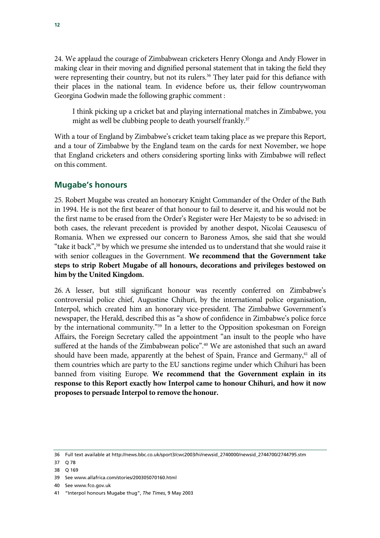24. We applaud the courage of Zimbabwean cricketers Henry Olonga and Andy Flower in making clear in their moving and dignified personal statement that in taking the field they were representing their country, but not its rulers.<sup>36</sup> They later paid for this defiance with their places in the national team. In evidence before us, their fellow countrywoman Georgina Godwin made the following graphic comment :

I think picking up a cricket bat and playing international matches in Zimbabwe, you might as well be clubbing people to death yourself frankly.<sup>37</sup>

With a tour of England by Zimbabwe's cricket team taking place as we prepare this Report, and a tour of Zimbabwe by the England team on the cards for next November, we hope that England cricketers and others considering sporting links with Zimbabwe will reflect on this comment.

#### **Mugabe's honours**

25. Robert Mugabe was created an honorary Knight Commander of the Order of the Bath in 1994. He is not the first bearer of that honour to fail to deserve it, and his would not be the first name to be erased from the Order's Register were Her Majesty to be so advised: in both cases, the relevant precedent is provided by another despot, Nicolai Ceausescu of Romania. When we expressed our concern to Baroness Amos, she said that she would "take it back",<sup>38</sup> by which we presume she intended us to understand that she would raise it with senior colleagues in the Government. **We recommend that the Government take steps to strip Robert Mugabe of all honours, decorations and privileges bestowed on him by the United Kingdom.**

26. A lesser, but still significant honour was recently conferred on Zimbabwe's controversial police chief, Augustine Chihuri, by the international police organisation, Interpol, which created him an honorary vice-president. The Zimbabwe Government's newspaper, the Herald, described this as "a show of confidence in Zimbabwe's police force by the international community."39 In a letter to the Opposition spokesman on Foreign Affairs, the Foreign Secretary called the appointment "an insult to the people who have suffered at the hands of the Zimbabwean police".40 We are astonished that such an award should have been made, apparently at the behest of Spain, France and Germany,<sup>41</sup> all of them countries which are party to the EU sanctions regime under which Chihuri has been banned from visiting Europe. **We recommend that the Government explain in its response to this Report exactly how Interpol came to honour Chihuri, and how it now proposes to persuade Interpol to remove the honour.** 

<sup>36</sup> Full text available at http://news.bbc.co.uk/sport3/cwc2003/hi/newsid\_2740000/newsid\_2744700/2744795.stm

<sup>37</sup> Q 78

<sup>38</sup> Q 169

<sup>39</sup> See www.allafrica.com/stories/200305070160.html

<sup>40</sup> See www.fco.gov.uk

<sup>41 &</sup>quot;Interpol honours Mugabe thug", *The Times*, 9 May 2003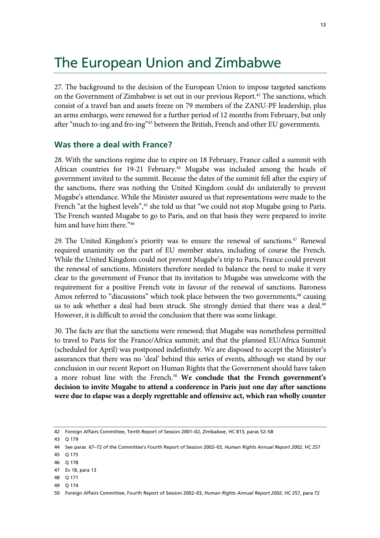## The European Union and Zimbabwe

27. The background to the decision of the European Union to impose targeted sanctions on the Government of Zimbabwe is set out in our previous Report.<sup>42</sup> The sanctions, which consist of a travel ban and assets freeze on 79 members of the ZANU-PF leadership, plus an arms embargo, were renewed for a further period of 12 months from February, but only after "much to-ing and fro-ing"43 between the British, French and other EU governments.

#### **Was there a deal with France?**

28. With the sanctions regime due to expire on 18 February, France called a summit with African countries for 19-21 February.<sup>44</sup> Mugabe was included among the heads of government invited to the summit. Because the dates of the summit fell after the expiry of the sanctions, there was nothing the United Kingdom could do unilaterally to prevent Mugabe's attendance. While the Minister assured us that representations were made to the French "at the highest levels",<sup>45</sup> she told us that "we could not stop Mugabe going to Paris. The French wanted Mugabe to go to Paris, and on that basis they were prepared to invite him and have him there."<sup>46</sup>

29. The United Kingdom's priority was to ensure the renewal of sanctions.<sup>47</sup> Renewal required unanimity on the part of EU member states, including of course the French. While the United Kingdom could not prevent Mugabe's trip to Paris, France could prevent the renewal of sanctions. Ministers therefore needed to balance the need to make it very clear to the government of France that its invitation to Mugabe was unwelcome with the requirement for a positive French vote in favour of the renewal of sanctions. Baroness Amos referred to "discussions" which took place between the two governments,<sup>48</sup> causing us to ask whether a deal had been struck. She strongly denied that there was a deal.<sup>49</sup> However, it is difficult to avoid the conclusion that there was some linkage.

30. The facts are that the sanctions were renewed; that Mugabe was nonetheless permitted to travel to Paris for the France/Africa summit; and that the planned EU/Africa Summit (scheduled for April) was postponed indefinitely. We are disposed to accept the Minister's assurances that there was no 'deal' behind this series of events, although we stand by our conclusion in our recent Report on Human Rights that the Government should have taken a more robust line with the French.50 **We conclude that the French government's decision to invite Mugabe to attend a conference in Paris just one day after sanctions were due to elapse was a deeply regrettable and offensive act, which ran wholly counter** 

<sup>42</sup> Foreign Affairs Committee, Tenth Report of Session 2001–02, *Zimbabwe*, HC 813, paras 52–58

<sup>43</sup> Q 179

<sup>44</sup> See paras 67–72 of the Committee's Fourth Report of Session 2002–03, *Human Rights Annual Report 2002*, HC 257

<sup>45</sup> Q 175

<sup>46</sup> Q 178

<sup>47</sup> Ev 18, para 13

<sup>48</sup> Q 171

<sup>50</sup> Foreign Affairs Committee, Fourth Report of Session 2002–03, *Human Rights Annual Report 2002*, HC 257, para 72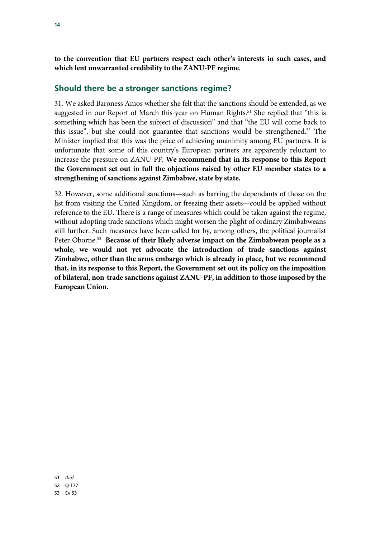**to the convention that EU partners respect each other's interests in such cases, and which lent unwarranted credibility to the ZANU-PF regime.**

### **Should there be a stronger sanctions regime?**

31. We asked Baroness Amos whether she felt that the sanctions should be extended, as we suggested in our Report of March this year on Human Rights.<sup>51</sup> She replied that "this is something which has been the subject of discussion" and that "the EU will come back to this issue", but she could not guarantee that sanctions would be strengthened.52 The Minister implied that this was the price of achieving unanimity among EU partners. It is unfortunate that some of this country's European partners are apparently reluctant to increase the pressure on ZANU-PF. **We recommend that in its response to this Report the Government set out in full the objections raised by other EU member states to a strengthening of sanctions against Zimbabwe, state by state.** 

32. However, some additional sanctions—such as barring the dependants of those on the list from visiting the United Kingdom, or freezing their assets—could be applied without reference to the EU. There is a range of measures which could be taken against the regime, without adopting trade sanctions which might worsen the plight of ordinary Zimbabweans still further. Such measures have been called for by, among others, the political journalist Peter Oborne.53 **Because of their likely adverse impact on the Zimbabwean people as a whole, we would not yet advocate the introduction of trade sanctions against Zimbabwe, other than the arms embargo which is already in place, but we recommend that, in its response to this Report, the Government set out its policy on the imposition of bilateral, non-trade sanctions against ZANU-PF, in addition to those imposed by the European Union.**

51 *Ibid*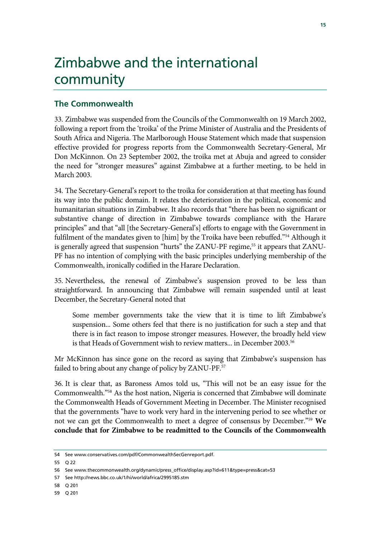# Zimbabwe and the international community

### **The Commonwealth**

33. Zimbabwe was suspended from the Councils of the Commonwealth on 19 March 2002, following a report from the 'troika' of the Prime Minister of Australia and the Presidents of South Africa and Nigeria. The Marlborough House Statement which made that suspension effective provided for progress reports from the Commonwealth Secretary-General, Mr Don McKinnon. On 23 September 2002, the troika met at Abuja and agreed to consider the need for "stronger measures" against Zimbabwe at a further meeting, to be held in March 2003.

34. The Secretary-General's report to the troika for consideration at that meeting has found its way into the public domain. It relates the deterioration in the political, economic and humanitarian situations in Zimbabwe. It also records that "there has been no significant or substantive change of direction in Zimbabwe towards compliance with the Harare principles" and that "all [the Secretary-General's] efforts to engage with the Government in fulfilment of the mandates given to [him] by the Troika have been rebuffed."54 Although it is generally agreed that suspension "hurts" the ZANU-PF regime,<sup>55</sup> it appears that ZANU-PF has no intention of complying with the basic principles underlying membership of the Commonwealth, ironically codified in the Harare Declaration.

35. Nevertheless, the renewal of Zimbabwe's suspension proved to be less than straightforward. In announcing that Zimbabwe will remain suspended until at least December, the Secretary-General noted that

Some member governments take the view that it is time to lift Zimbabwe's suspension... Some others feel that there is no justification for such a step and that there is in fact reason to impose stronger measures. However, the broadly held view is that Heads of Government wish to review matters... in December 2003.<sup>56</sup>

Mr McKinnon has since gone on the record as saying that Zimbabwe's suspension has failed to bring about any change of policy by ZANU-PF.<sup>57</sup>

36. It is clear that, as Baroness Amos told us, "This will not be an easy issue for the Commonwealth."58 As the host nation, Nigeria is concerned that Zimbabwe will dominate the Commonwealth Heads of Government Meeting in December. The Minister recognised that the governments "have to work very hard in the intervening period to see whether or not we can get the Commonwealth to meet a degree of consensus by December."59 **We conclude that for Zimbabwe to be readmitted to the Councils of the Commonwealth** 

<sup>54</sup> See www.conservatives.com/pdf/CommonwealthSecGenreport.pdf.

<sup>55</sup> Q 22

<sup>56</sup> See www.thecommonwealth.org/dynamic/press\_office/display.asp?id=611&type=press&cat=53

<sup>57</sup> See http://news.bbc.co.uk/1/hi/world/africa/2995185.stm

<sup>58</sup> Q 201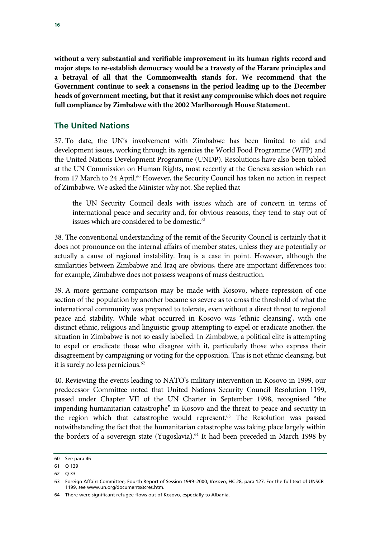**without a very substantial and verifiable improvement in its human rights record and major steps to re-establish democracy would be a travesty of the Harare principles and a betrayal of all that the Commonwealth stands for. We recommend that the Government continue to seek a consensus in the period leading up to the December heads of government meeting, but that it resist any compromise which does not require full compliance by Zimbabwe with the 2002 Marlborough House Statement.**

### **The United Nations**

37. To date, the UN's involvement with Zimbabwe has been limited to aid and development issues, working through its agencies the World Food Programme (WFP) and the United Nations Development Programme (UNDP). Resolutions have also been tabled at the UN Commission on Human Rights, most recently at the Geneva session which ran from 17 March to 24 April.<sup>60</sup> However, the Security Council has taken no action in respect of Zimbabwe. We asked the Minister why not. She replied that

the UN Security Council deals with issues which are of concern in terms of international peace and security and, for obvious reasons, they tend to stay out of issues which are considered to be domestic.<sup>61</sup>

38. The conventional understanding of the remit of the Security Council is certainly that it does not pronounce on the internal affairs of member states, unless they are potentially or actually a cause of regional instability. Iraq is a case in point. However, although the similarities between Zimbabwe and Iraq are obvious, there are important differences too: for example, Zimbabwe does not possess weapons of mass destruction.

39. A more germane comparison may be made with Kosovo, where repression of one section of the population by another became so severe as to cross the threshold of what the international community was prepared to tolerate, even without a direct threat to regional peace and stability. While what occurred in Kosovo was 'ethnic cleansing', with one distinct ethnic, religious and linguistic group attempting to expel or eradicate another, the situation in Zimbabwe is not so easily labelled. In Zimbabwe, a political elite is attempting to expel or eradicate those who disagree with it, particularly those who express their disagreement by campaigning or voting for the opposition. This is not ethnic cleansing, but it is surely no less pernicious.<sup>62</sup>

40. Reviewing the events leading to NATO's military intervention in Kosovo in 1999, our predecessor Committee noted that United Nations Security Council Resolution 1199, passed under Chapter VII of the UN Charter in September 1998, recognised "the impending humanitarian catastrophe" in Kosovo and the threat to peace and security in the region which that catastrophe would represent.<sup>63</sup> The Resolution was passed notwithstanding the fact that the humanitarian catastrophe was taking place largely within the borders of a sovereign state (Yugoslavia).<sup>64</sup> It had been preceded in March 1998 by

<sup>60</sup> See para 46

<sup>61</sup> Q 139

<sup>62</sup> Q 33

<sup>63</sup> Foreign Affairs Committee, Fourth Report of Session 1999–2000, *Kosovo*, HC 28, para 127. For the full text of UNSCR 1199, see www.un.org/documents/scres.htm.

<sup>64</sup> There were significant refugee flows out of Kosovo, especially to Albania.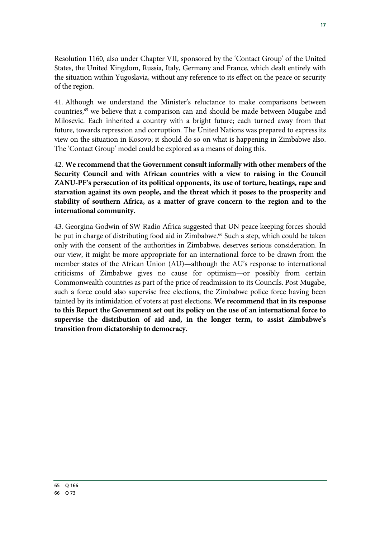Resolution 1160, also under Chapter VII, sponsored by the 'Contact Group' of the United States, the United Kingdom, Russia, Italy, Germany and France, which dealt entirely with the situation within Yugoslavia, without any reference to its effect on the peace or security of the region.

41. Although we understand the Minister's reluctance to make comparisons between countries,65 we believe that a comparison can and should be made between Mugabe and Milosevic. Each inherited a country with a bright future; each turned away from that future, towards repression and corruption. The United Nations was prepared to express its view on the situation in Kosovo; it should do so on what is happening in Zimbabwe also. The 'Contact Group' model could be explored as a means of doing this.

42. **We recommend that the Government consult informally with other members of the Security Council and with African countries with a view to raising in the Council ZANU-PF's persecution of its political opponents, its use of torture, beatings, rape and starvation against its own people, and the threat which it poses to the prosperity and stability of southern Africa, as a matter of grave concern to the region and to the international community.**

43. Georgina Godwin of SW Radio Africa suggested that UN peace keeping forces should be put in charge of distributing food aid in Zimbabwe.<sup>66</sup> Such a step, which could be taken only with the consent of the authorities in Zimbabwe, deserves serious consideration. In our view, it might be more appropriate for an international force to be drawn from the member states of the African Union (AU)—although the AU's response to international criticisms of Zimbabwe gives no cause for optimism—or possibly from certain Commonwealth countries as part of the price of readmission to its Councils. Post Mugabe, such a force could also supervise free elections, the Zimbabwe police force having been tainted by its intimidation of voters at past elections. **We recommend that in its response to this Report the Government set out its policy on the use of an international force to supervise the distribution of aid and, in the longer term, to assist Zimbabwe's transition from dictatorship to democracy.**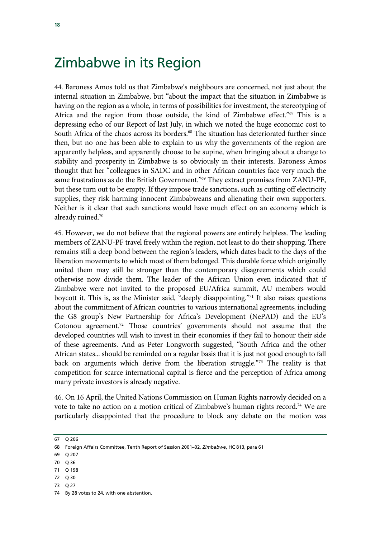### Zimbabwe in its Region

44. Baroness Amos told us that Zimbabwe's neighbours are concerned, not just about the internal situation in Zimbabwe, but "about the impact that the situation in Zimbabwe is having on the region as a whole, in terms of possibilities for investment, the stereotyping of Africa and the region from those outside, the kind of Zimbabwe effect."<sup>67</sup> This is a depressing echo of our Report of last July, in which we noted the huge economic cost to South Africa of the chaos across its borders.<sup>68</sup> The situation has deteriorated further since then, but no one has been able to explain to us why the governments of the region are apparently helpless, and apparently choose to be supine, when bringing about a change to stability and prosperity in Zimbabwe is so obviously in their interests. Baroness Amos thought that her "colleagues in SADC and in other African countries face very much the same frustrations as do the British Government."<sup>69</sup> They extract promises from ZANU-PF, but these turn out to be empty. If they impose trade sanctions, such as cutting off electricity supplies, they risk harming innocent Zimbabweans and alienating their own supporters. Neither is it clear that such sanctions would have much effect on an economy which is already ruined.70

45. However, we do not believe that the regional powers are entirely helpless. The leading members of ZANU-PF travel freely within the region, not least to do their shopping. There remains still a deep bond between the region's leaders, which dates back to the days of the liberation movements to which most of them belonged. This durable force which originally united them may still be stronger than the contemporary disagreements which could otherwise now divide them. The leader of the African Union even indicated that if Zimbabwe were not invited to the proposed EU/Africa summit, AU members would boycott it. This is, as the Minister said, "deeply disappointing."71 It also raises questions about the commitment of African countries to various international agreements, including the G8 group's New Partnership for Africa's Development (NePAD) and the EU's Cotonou agreement.72 Those countries' governments should not assume that the developed countries will wish to invest in their economies if they fail to honour their side of these agreements. And as Peter Longworth suggested, "South Africa and the other African states... should be reminded on a regular basis that it is just not good enough to fall back on arguments which derive from the liberation struggle."73 The reality is that competition for scarce international capital is fierce and the perception of Africa among many private investors is already negative.

46. On 16 April, the United Nations Commission on Human Rights narrowly decided on a vote to take no action on a motion critical of Zimbabwe's human rights record.<sup>74</sup> We are particularly disappointed that the procedure to block any debate on the motion was

- 72 Q 30
- 73 Q 27

<sup>67</sup> Q 206

<sup>68</sup> Foreign Affairs Committee, Tenth Report of Session 2001–02, *Zimbabwe*, HC 813, para 61

<sup>69</sup> Q 207

<sup>70</sup> Q 36

<sup>71</sup> Q 198

<sup>74</sup> By 28 votes to 24, with one abstention.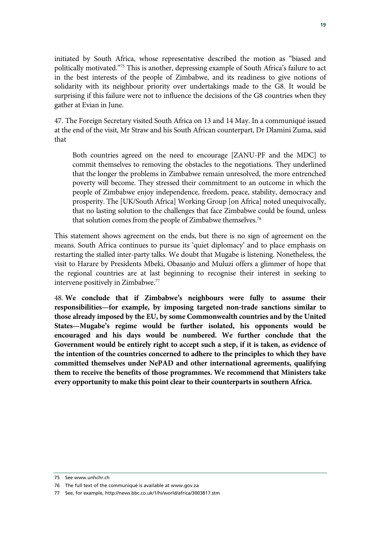initiated by South Africa, whose representative described the motion as "biased and politically motivated."75 This is another, depressing example of South Africa's failure to act in the best interests of the people of Zimbabwe, and its readiness to give notions of solidarity with its neighbour priority over undertakings made to the G8. It would be surprising if this failure were not to influence the decisions of the G8 countries when they gather at Evian in June.

47. The Foreign Secretary visited South Africa on 13 and 14 May. In a communiqué issued at the end of the visit, Mr Straw and his South African counterpart, Dr Dlamini Zuma, said that

Both countries agreed on the need to encourage [ZANU-PF and the MDC] to commit themselves to removing the obstacles to the negotiations. They underlined that the longer the problems in Zimbabwe remain unresolved, the more entrenched poverty will become. They stressed their commitment to an outcome in which the people of Zimbabwe enjoy independence, freedom, peace, stability, democracy and prosperity. The [UK/South Africa] Working Group [on Africa] noted unequivocally, that no lasting solution to the challenges that face Zimbabwe could be found, unless that solution comes from the people of Zimbabwe themselves.<sup>76</sup>

This statement shows agreement on the ends, but there is no sign of agreement on the means. South Africa continues to pursue its 'quiet diplomacy' and to place emphasis on restarting the stalled inter-party talks. We doubt that Mugabe is listening. Nonetheless, the visit to Harare by Presidents Mbeki, Obasanjo and Muluzi offers a glimmer of hope that the regional countries are at last beginning to recognise their interest in seeking to intervene positively in Zimbabwe.77

48. **We conclude that if Zimbabwe's neighbours were fully to assume their responsibilities—for example, by imposing targeted non-trade sanctions similar to those already imposed by the EU, by some Commonwealth countries and by the United States—Mugabe's regime would be further isolated, his opponents would be encouraged and his days would be numbered. We further conclude that the Government would be entirely right to accept such a step, if it is taken, as evidence of the intention of the countries concerned to adhere to the principles to which they have committed themselves under NePAD and other international agreements, qualifying them to receive the benefits of those programmes. We recommend that Ministers take every opportunity to make this point clear to their counterparts in southern Africa.**

<sup>75</sup> See www.unhchr.ch

<sup>76</sup> The full text of the communiqué is available at www.gov.za

<sup>77</sup> See, for example, http://news.bbc.co.uk/1/hi/world/africa/3003817.stm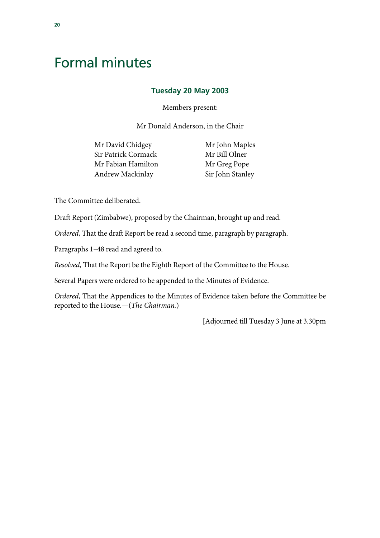## Formal minutes

#### **Tuesday 20 May 2003**

Members present:

Mr Donald Anderson, in the Chair

Mr David Chidgey Sir Patrick Cormack Mr Fabian Hamilton Andrew Mackinlay

 Mr John Maples Mr Bill Olner Mr Greg Pope Sir John Stanley

The Committee deliberated.

Draft Report (Zimbabwe), proposed by the Chairman, brought up and read.

*Ordered*, That the draft Report be read a second time, paragraph by paragraph.

Paragraphs 1–48 read and agreed to.

*Resolved*, That the Report be the Eighth Report of the Committee to the House.

Several Papers were ordered to be appended to the Minutes of Evidence.

*Ordered*, That the Appendices to the Minutes of Evidence taken before the Committee be reported to the House.—(*The Chairman.*)

[Adjourned till Tuesday 3 June at 3.30pm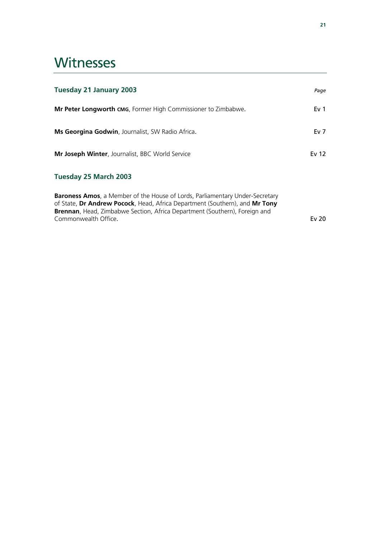## **Witnesses**

| <b>Tuesday 21 January 2003</b>                                                                                                                                                                                                                                            | Page            |
|---------------------------------------------------------------------------------------------------------------------------------------------------------------------------------------------------------------------------------------------------------------------------|-----------------|
| <b>Mr Peter Longworth CMG, Former High Commissioner to Zimbabwe.</b>                                                                                                                                                                                                      | Ev <sub>1</sub> |
| <b>Ms Georgina Godwin</b> , Journalist, SW Radio Africa.                                                                                                                                                                                                                  | Ev <sub>7</sub> |
| <b>Mr Joseph Winter, Journalist, BBC World Service</b>                                                                                                                                                                                                                    | Ev 12           |
| Tuesday 25 March 2003                                                                                                                                                                                                                                                     |                 |
| <b>Baroness Amos</b> , a Member of the House of Lords, Parliamentary Under-Secretary<br>of State, Dr Andrew Pocock, Head, Africa Department (Southern), and Mr Tony<br>Brennan, Head, Zimbabwe Section, Africa Department (Southern), Foreign and<br>Commonwealth Office. | Ev $20$         |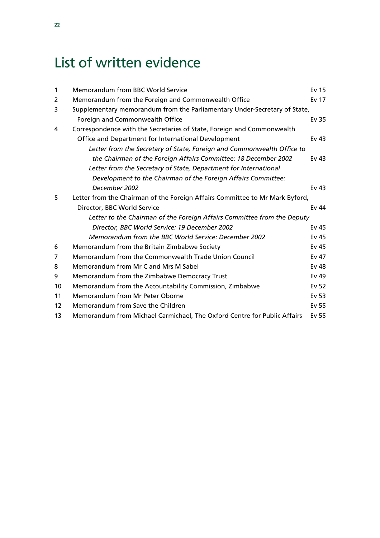# List of written evidence

| $\mathbf{1}$ | <b>Memorandum from BBC World Service</b>                                     | Ev 15            |
|--------------|------------------------------------------------------------------------------|------------------|
| 2            | Memorandum from the Foreign and Commonwealth Office                          | Ev 17            |
| 3            | Supplementary memorandum from the Parliamentary Under-Secretary of State,    |                  |
|              | Foreign and Commonwealth Office                                              | Ev 35            |
| 4            | Correspondence with the Secretaries of State, Foreign and Commonwealth       |                  |
|              | Office and Department for International Development                          | Ev <sub>43</sub> |
|              | Letter from the Secretary of State, Foreign and Commonwealth Office to       |                  |
|              | the Chairman of the Foreign Affairs Committee: 18 December 2002              | Ev $43$          |
|              | Letter from the Secretary of State, Department for International             |                  |
|              | Development to the Chairman of the Foreign Affairs Committee:                |                  |
|              | December 2002                                                                | Ev $43$          |
| 5            | Letter from the Chairman of the Foreign Affairs Committee to Mr Mark Byford, |                  |
|              | Director, BBC World Service                                                  | Ev 44            |
|              | Letter to the Chairman of the Foreign Affairs Committee from the Deputy      |                  |
|              | Director, BBC World Service: 19 December 2002                                | Ev 45            |
|              | Memorandum from the BBC World Service: December 2002                         | Ev 45            |
| 6            | Memorandum from the Britain Zimbabwe Society                                 | Ev 45            |
| 7            | Memorandum from the Commonwealth Trade Union Council                         | Ev 47            |
| 8            | Memorandum from Mr C and Mrs M Sabel                                         | Ev 48            |
| 9            | Memorandum from the Zimbabwe Democracy Trust                                 | Ev 49            |
| 10           | Memorandum from the Accountability Commission, Zimbabwe                      | Ev 52            |
| 11           | Memorandum from Mr Peter Oborne                                              | Ev 53            |
| 12           | Memorandum from Save the Children                                            | Ev 55            |
| 13           | Memorandum from Michael Carmichael, The Oxford Centre for Public Affairs     | Ev 55            |